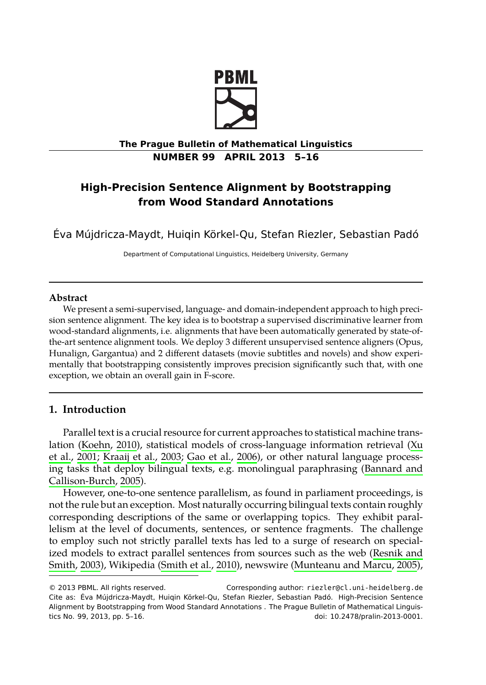

## **The Prague Bulletin of Mathematical Linguistics NUMBER 99 APRIL 2013 5–16**

# **High-Precision Sentence Alignment by Bootstrapping from Wood Standard Annotations**

Éva Mújdricza-Maydt, Huiqin Körkel-Qu, Stefan Riezler, Sebastian Padó

Department of Computational Linguistics, Heidelberg University, Germany

## **Abstract**

We present a semi-supervised, language- and domain-independent approach to high precision sentence alignment. The key idea is to bootstrap a supervised discriminative learner from wood-st[andard](#page-10-0) a[lignm](#page-10-0)ents, i.e. alignments that have been automatically generated by state[-of](#page-11-0)[the-ar](#page-11-0)t [sente](#page-11-0)[nce alignment](#page-10-1) t[ools.](#page-10-1) [We deploy 3](#page-10-2) [differe](#page-10-2)nt unsupervised sentence aligners (Opus, Hunalign, Gargantua) and 2 different datasets (movie subtitles and novels) an[d show experi](#page-10-3)[mentally that bootstrap](#page-10-3)ping consistently improves precision significantly such that, with one exception, we obtain an overall gain in F-score.

## **1. Introduction**

Parallel text is a crucial resource for current approaches to statistical machine translation (Koehn, 2010), sta[tistical mod](#page-10-5)els of cross-language information r[etrieval \(Xu](#page-10-4) [et al.,](#page-10-4) [2001;](#page-10-4) Kraaij et al., 2003; Gao e[t al.,](#page-10-5) 2006), or oth[er natural language p](#page-10-6)r[ocess](#page-10-6)ing tasks that deploy bilingual texts, e.g. monolingual paraphrasing (Bannard and Callison-Burch, 2005).

However, one-to-one sentence parallelism, as found in parliament proceedings, is not the rule but an exception. Most naturally occurring bilingual texts contain roughly corresponding descriptions of the same or overlapping topics. They exhibit parallelism at the level of documents, sentences, or sentence fragments. The challenge to employ such not strictly parallel texts has led to a surge of research on specialized models to extract parallel sentences from sources such as the web (Resnik and Smith, 2003), Wikipedia (Smith et al., 2010), newswire (Munteanu and Marcu, 2005),

<sup>© 2013</sup> PBML. All rights reserved. Corresponding author: riezler@cl.uni-heidelberg.de Cite as: Éva Mújdricza-Maydt, Huiqin Körkel-Qu, Stefan Riezler, Sebastian Padó. High-Precision Sentence Alignment by Bootstrapping from Wood Standard Annotations . The Prague Bulletin of Mathematical Linguistics No. 99, 2013, pp. 5–16. doi: 10.2478/pralin-2013-0001.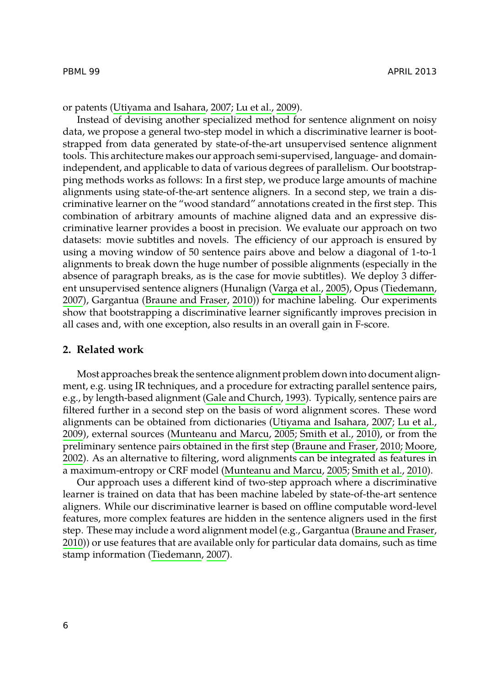### PBML 99 APRIL 2013

or patents (Utiyama and Isahara, 2007; Lu et al., 2009).

Instead of devising another specialized method for sentence alignment on noisy data, we propose a general two-step model in which a discriminative learner is bootstrapped from data generated by state-of-the-art unsupervised sentence alignment tools. This architecture makes our approach semi-supervised, language- and domainindependent, and applicable to data of various degrees of parallelism. Our bootstrapping methods works as follows: In a first step, [we produce](#page-11-1) l[arge](#page-11-1) amount[s of machine](#page-11-2) [align](#page-11-2)ments using [state-of-the-art sentence a](#page-10-7)ligners. In a second step, we train a discriminative learner on the "wood standard" annotations created in the first step. This combination of arbitrary amounts of machine aligned data and an expressive discriminative learner provides a boost in precision. We evaluate our approach on two datasets: movie subtitles and novels. The efficiency of our approach is ensured by using a moving window of 50 sentence pairs above and below a diagonal of 1-to-1 alignments to break down the huge number of possible alignments (especially in the absence of paragraph breaks, as is the case for movie subtitles). We deploy 3 different unsupervised sentence align[ers \(Hunalign \(Varga et](#page-10-8) al., 2005), Opus (Tiedemann, 2007), Gargantua (Braune and Fraser, 2010)) for machine labeling. Our experiments show that bootstrapping a discriminative learn[er significantly improves pr](#page-11-3)[ecision in](#page-10-9) [all ca](#page-10-9)ses and, with one e[xception, also results in an o](#page-10-6)[v](#page-10-7)[erall gain in](#page-10-5)[F-sco](#page-10-5)[re.](#page-10-7)

### **[2. R](#page-10-10)elated work**

Most approaches break the sentence alignment problem down into document alignment, e.g. using IR techniques, and a procedure for extracting parallel sentence pairs, e.g., by length-based alignment (Gale and Church, 1993). Typically, sentence pairs are filtered further in a second step on the basis of word alignment s[cores. These word](#page-10-7) alignments can be obtained from dictionaries (Utiyama and Isahara, 2007; Lu et al., [2009](#page-10-7)), external sources (Munteanu and Marcu, 2005; Smith et al., 2010), or from the preliminary senten[ce pairs obta](#page-11-2)i[ned i](#page-11-2)n the first step (Braune and Fraser, 2010; Moore, 2002). As an alternative to filtering, word alignments can be integrated as features in a maximum-entropy or CRF model (Munteanu and Marcu, 2005; Smith et al., 2010).

Our approach uses a different kind of two-step approach where a discriminative learner is trained on data that has been machine labeled by state-of-the-art sentence aligners. While our discriminative learner is based on offline computable word-level features, more complex features are hidden in the sentence aligners used in the first step. These may include a word alignment model (e.g., Gargantua (Braune and Fraser, 2010)) or use features that are available only for particular data domains, such as time stamp information (Tiedemann, 2007).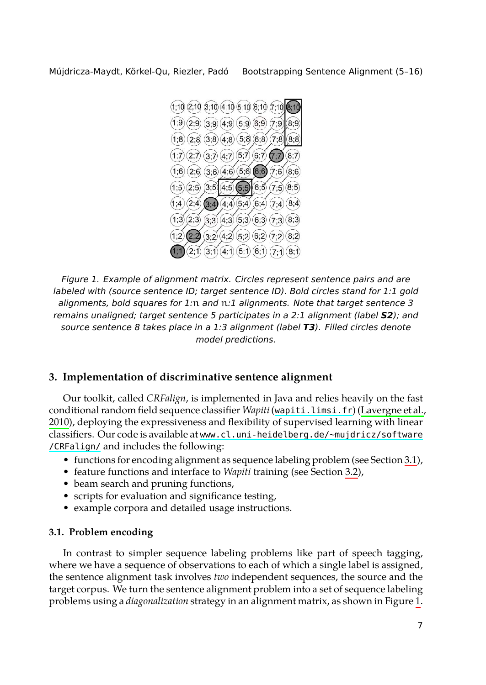<span id="page-2-0"></span>

<span id="page-2-1"></span>*Figure 1. Example of alignment matrix. Circles represent sentence pairs and are labeled with (source sentence ID; target sentence ID). Bold circles stan[d for 1:1 gold](#page-10-11) alignments, bold squares for 1:*n *and* n*:1 alignme[nts. Note that targ](http://wapiti.limsi.fr)et sentence 3 [rem](#page-10-11)ains unaligned; target senten[ce 5 participates in a 2:1 alignment \(label](http://www.cl.uni-heidelberg.de/~mujdricz/software/CRFalign/) S2); and [source se](http://www.cl.uni-heidelberg.de/~mujdricz/software/CRFalign/)ntence 8 takes place in a 1:3 alignment (label T3). Filled circles denote model predictions.*

## **3. Implementation of discriminative sentence alignment**

Our toolkit, called *CRFalign*, is implemented in Java and relies heavily on the fast conditional random field sequence classifier *Wapiti*(wapiti.limsi.fr) (Lavergne et al., 2010), deploying the expressiveness and flexibility of supervised learning with linear classifiers. Our code is available at www.cl.uni-heidelberg.de/~mujdricz/software /CRFalign/ and includes the following:

- functions for encoding alignment as sequence labeling problem (see Section 3.1),
- feature functions and interface to *Wapiti* training (see Section 3.2),
- beam search and pruning functions,
- scripts for evaluation and significance testing,
- example corpora and detailed usage instructions.

#### **3.1. Problem encoding**

In contrast to simpler sequence labeling problems like part of speech tagging, where we have a sequence of observations to each of which a single label is assigned, the sentence alignment task involves *two* independent sequences, the source and the target corpus. We turn the sentence alignment problem into a set of sequence labeling problems using a *diagonalization* strategy in an alignment matrix, as shown in Figure 1.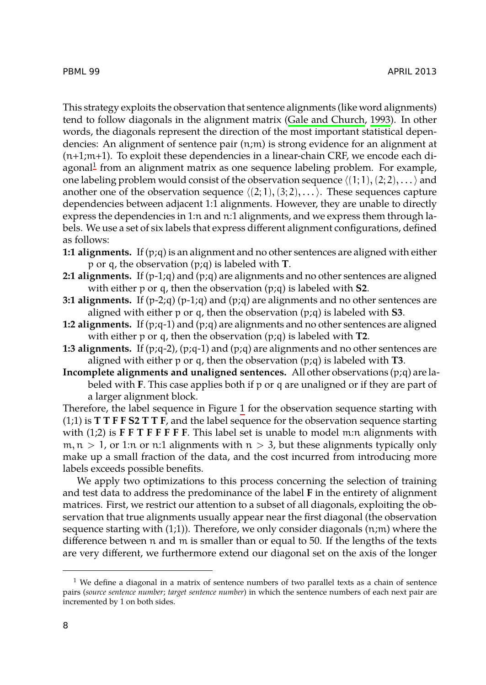#### PBML 99 APRIL 2013

This strategy exploits the observation that sentence alignments (like word alignments) tend to follow diagonals in the alignment matrix (Gale and Church, 1993). In other words, the diagonals represent the direction of the most important statistical dependencies: An alignment of sentence pair (n;m) is strong evidence for an alignment at (n+1;m+1). To exploit these dependencies in a linear-chain CRF, we encode each diagonal<sup>1</sup> from an alignment matrix as one sequence labeling problem. For example, one labeling problem would consist of the observation sequence *⟨*(1; 1),(2; 2), . . .*⟩* and another one of the observation sequence  $\langle (2;1), (3;2), \ldots \rangle$ . These sequences capture dependencies between adjacent 1:1 alignments. However, they are unable to directly express the dependencies in 1:n and n:1 alignments, and we express them through labels. We use a set of six labels that express different alignment configurations, defined as follows:

- **1:1 alignments.** If (p;q) is an alignment and no other sentences are aligned with either p or q, the observation (p;q) is labeled with **T**.
- **2:1 alignments.** If  $(p-1;q)$  and  $(p;q)$  are alignments and no other sentences are aligned with either p or q, then the observation (p;q) is labeled with **S2**.
- **3:1 alignments.** If  $(p-2;q)$  $(p-2;q)$  $(p-2;q)$   $(p-1;q)$  and  $(p,q)$  are alignments and no other sentences are aligned with either p or q, then the observation (p;q) is labeled with **S3**.
- **1:2 alignments.** If (p;q-1) and (p;q) are alignments and no other sentences are aligned with either p or q, then the observation (p;q) is labeled with **T2**.
- **1:3 alignments.** If  $(p;q-2)$ ,  $(p;q-1)$  and  $(p;q)$  are alignments and no other sentences are aligned with either p or q, then the observation (p;q) is labeled with **T3**.
- **Incomplete alignments and unaligned sentences.** All other observations (p;q) are labeled with **F**. This case applies both if p or q are unaligned or if they are part of a larger alignment block.

Therefore, the label sequence in Figure 1 for the observation sequence starting with (1;1) is **T T F F S2 T T F**, and the label sequence for the observation sequence starting with (1;2) is **F F T F F F F F**. This label set is unable to model m:n alignments with  $m, n > 1$ , or 1:n or n:1 alignments with  $n > 3$ , but these alignments typically only make up a small fraction of the data, and the cost incurred from introducing more labels exceeds possible benefits.

We apply two optimizations to this process concerning the selection of training and test data to address the predominance of the label **F** in the entirety of alignment matrices. First, we restrict our attention to a subset of all diagonals, exploiting the observation that true alignments usually appear near the first diagonal (the observation sequence starting with  $(1;1)$ ). Therefore, we only consider diagonals  $(n;m)$  where the difference between n and m is smaller than or equal to 50. If the lengths of the texts are very different, we furthermore extend our diagonal set on the axis of the longer

<sup>&</sup>lt;sup>1</sup> We define a diagonal in a matrix of sentence numbers of two parallel texts as a chain of sentence pairs (*source sentence number*; *target sentence number*) in which the sentence numbers of each next pair are incremented by 1 on both sides.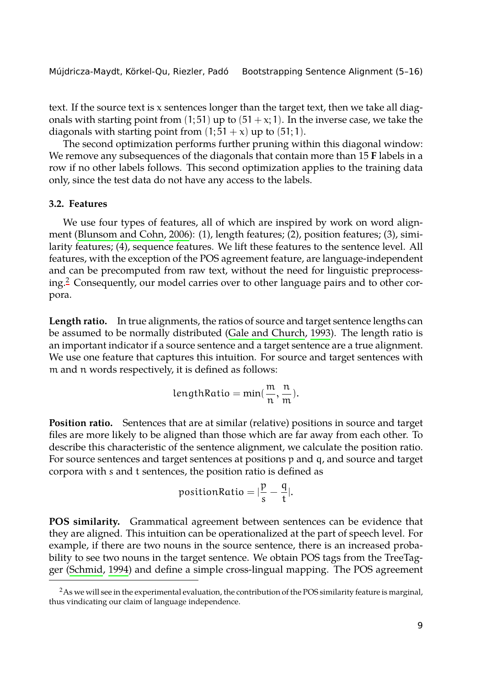text. If the source text is x sentences longer than the target text, then we take all diagonals [with starting point from](#page-10-12)  $(1; 51)$  up to  $(51 + x; 1)$ . In the inverse case, we take the diagonals with starting point from  $(1; 51 + x)$  up to  $(51; 1)$ .

The second optimization performs further pruning within this diagonal window: We remove any subsequences of the diagonals that contain more than 15 **F** labels in a ro[w i](#page-4-0)f no other labels follows. This second optimization applies to the training data only, since the test data do not have any access to the labels.

## **3.2. Features**

We use four types of features, all of [which are inspired by w](#page-10-8)ork on word alignment (Blunsom and Cohn, 2006): (1), length features; (2), position features; (3), similarity features; (4), sequence features. We lift these features to the sentence level. All features, with the exception of the POS agreement feature, are language-independent and can be precomputed from raw text, without the need for linguistic preprocessing.<sup>2</sup> Consequently, our model carries over to other language pairs and to other corpora.

**Length ratio.** In true alignments, the ratios of source and target sentence lengths can be assumed to be normally distributed (Gale and Church, 1993). The length ratio is an important indicator if a source sentence and a target sentence are a true alignment. We use one feature that captures this intuition. For source and target sentences with m and n words respectively, it is defined as follows:

$$
lengthRatio = min(\frac{m}{n}, \frac{n}{m}).
$$

**Position ratio.** Sentences that are at similar (relative) positions in source and target files are more likely to be aligned than those which are far away from each other. To describe this characteristic of the sentence alignment, we calculate the position ratio. For [source sentenc](#page-10-13)es and target sentences at positions p and q, and source and target corpora with s and t sentences, the position ratio is defined as

$$
\text{positionRatio} = |\frac{p}{s} - \frac{q}{t}|.
$$

<span id="page-4-0"></span>**POS similarity.** Grammatical agreement between sentences can be evidence that they are aligned. This intuition can be operationalized at the part of speech level. For example, if there are two nouns in the source sentence, there is an increased probability to see two nouns in the target sentence. We obtain POS tags from the TreeTagger (Schmid, 1994) and define a simple cross-lingual mapping. The POS agreement

 ${}^{2}$ As we will see in the experimental evaluation, the contribution of the POS similarity feature is marginal, thus vindicating our claim of language independence.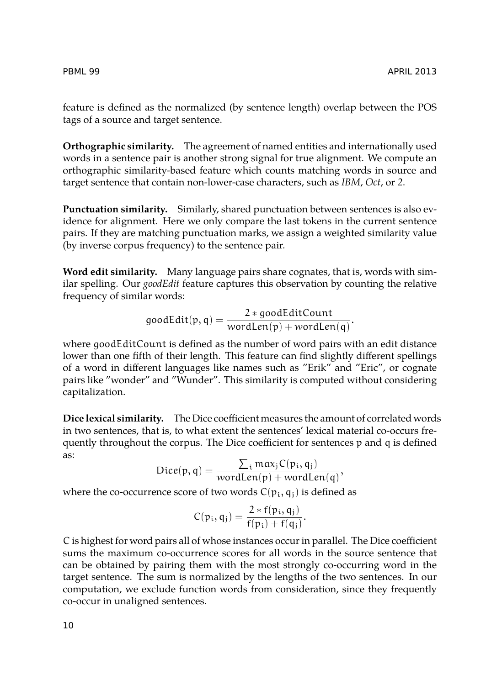feature is defined as the normalized (by sentence length) overlap between the POS tags of a source and target sentence.

**Orthographic similarity.** The agreement of named entities and internationally used words in a sentence pair is another strong signal for true alignment. We compute an orthographic similarity-based feature which counts matching words in source and target sentence that contain non-lower-case characters, such as *IBM*, *Oct*, or *2*.

**Punctuation similarity.** Similarly, shared punctuation between sentences is also evidence for alignment. Here we only compare the last tokens in the current sentence pairs. If they are matching punctuation marks, we assign a weighted similarity value (by inverse corpus frequency) to the sentence pair.

**Word edit similarity.** Many language pairs share cognates, that is, words with similar spelling. Our *goodEdit* feature captures this observation by counting the relative frequency of similar words:

$$
\textit{goodEdit}(p,q) = \frac{2 * \textit{goodEditCount}}{\textit{wordLen}(p) + \textit{wordLen}(q)}.
$$

where goodEditCount is defined as the number of word pairs with an edit distance lower than one fifth of their length. This feature can find slightly different spellings of a word in different languages like names such as "Erik" and "Eric", or cognate pairs like "wonder" and "Wunder". This similarity is computed without considering capitalization.

**Dice lexical similarity.** The Dice coefficient measures the amount of correlated words in two sentences, that is, to what extent the sentences' lexical material co-occurs frequently throughout the corpus. The Dice coefficient for sentences p and q is defined as:

$$
Dice(p, q) = \frac{\sum_{i} max_{j} C(p_i, q_j)}{wordLen(p) + wordLen(q)},
$$

where the co-occurrence score of two words  $C(p_i, q_i)$  is defined as

$$
C(p_i, q_j) = \frac{2 * f(p_i, q_j)}{f(p_i) + f(q_j)}.
$$

C is highest for word pairs all of whose instances occur in parallel. The Dice coefficient sums the maximum co-occurrence scores for all words in the source sentence that can be obtained by pairing them with the most strongly co-occurring word in the target sentence. The sum is normalized by the lengths of the two sentences. In our computation, we exclude function words from consideration, since they frequently co-occur in unaligned sentences.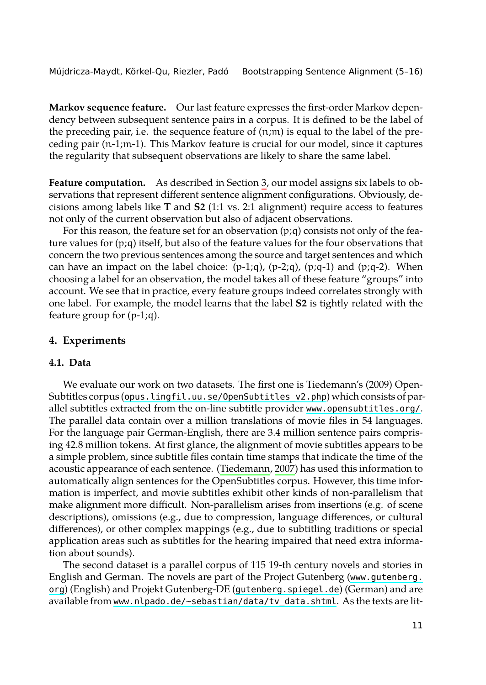**Markov sequence feature.** Our last feature expresses the first-order Markov dependency between subsequent sentence pairs in a corpus. It is defined to be the label of the preceding pair, i.e. the sequence feature of  $(n;m)$  is equal to the label of the preceding pair (n-1;m-1). This Markov feature is crucial for our model, since it captures the regularity that subsequent observations are likely to share the same label.

**Feature computation.** As described in Section 3, our model assigns six labels to observations that represent different sentence alignment configurations. Obviously, decisions among labels like **T** and **S2** (1:1 vs. 2:1 alignment) require access to features not only of the current observation but also of adjacent observations.

For this reason, the feature set for an observation  $(p;q)$  consists not only of the feature values for  $(p;q)$  itself, but also of the feature values for the four observations that concern the two previous sentences among the source and target sentences and which can have an impact on the label choice:  $(p-1;q)$ ,  $(p-2;q)$ ,  $(p;q-1)$  and  $(p;q-2)$ . When choosing a label [for an observation, the model takes all of these](http://opus.lingfil.uu.se/OpenSubtitles_v2.php) feature "groups" into account. We see that in practice, every feature groups inde[ed correlates strongly with](http://www.opensubtitles.org/) one label. For example, the model learns that the label **S2** is tightly related with the feature group for (p-1;q).

#### **4. Experiments**

## **4.1. Data**

We evaluate our work on two datasets. The first one is Tiedemann's (2009) Open-Subtitles corpus (opus.lingfil.uu.se/OpenSubtitles\_v2.php) which consists of parallel subtitles extracted from the on-line subtitle provider www.opensubtitles.org/. The parallel data contain over a million translations of movie files in 54 languages. For the language pair German-English, there are 3.4 million sentence pairs comprising 42.8 million tokens. At first glance, the alignment of movie subtitles appears to be a simple problem, since subtitle files contain time stamps that indicate the time of the acoustic appearance of each sentence. (Tiedemann, 2007) has used th[is information to](http://www.gutenberg.org) [auto](http://www.gutenberg.org)matically align sentences for the Ope[nSubtitles corpus. Howev](http://gutenberg.spiegel.de)er, this time information is imp[erfect, and movie subtitles exhibit other kinds of n](http://www.nlpado.de/~sebastian/data/tv_data.shtml)on-parallelism that make alignment more difficult. Non-parallelism arises from insertions (e.g. of scene descriptions), omissions (e.g., due to compression, language differences, or cultural differences), or other complex mappings (e.g., due to subtitling traditions or special application areas such as subtitles for the hearing impaired that need extra information about sounds).

The second dataset is a parallel corpus of 115 19-th century novels and stories in English and German. The novels are part of the Project Gutenberg (www.gutenberg. org) (English) and Projekt Gutenberg-DE (gutenberg.spiegel.de) (German) and are available from www.nlpado.de/~sebastian/data/tv\_data.shtml. As the texts are lit-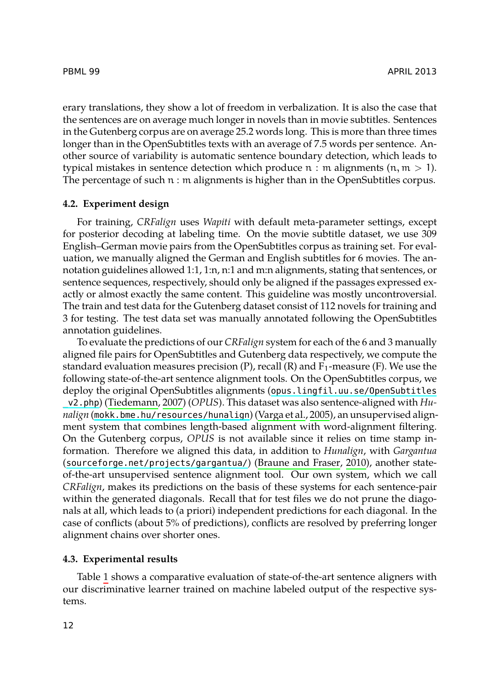### PBML 99 APRIL 2013

erary translations, they show a lot of freedom in verbalization. It is also the case that the sentences are on average much longer in novels than in movie subtitles. Sentences in the Gutenberg corpus are on average 25.2 words long. This is more than three times longer than in the OpenSubtitles texts with an average of 7.5 words per sentence. Another source of variability is automatic sentence boundary detection, which leads to typical mistakes in sentence detection which produce  $n : m$  alignments  $(n, m > 1)$ . The percentage of such n : m alignments is higher than in the OpenSubtitles corpus.

### **4.2. Experiment design**

For training, *CRFalign* uses *Wapiti* with default meta-parameter settings, except for posterior decoding at labeling time. On the movie subtitle dataset, we use 309 English–German movie pairs from the OpenSubtitles corpus as training set. For evaluation, we manually aligned the German and English subtitles for 6 movies. The annotation guidelines allowed 1:1, 1:n, n:1 and m:n alignments, stating that sentences, or sentence sequences, respectively, should only b[e aligned if the passages expressed ex](http://opus.lingfil.uu.se/OpenSubtitles_v2.php)[actly or a](http://opus.lingfil.uu.se/OpenSubtitles_v2.php)l[most exactly the s](#page-11-2)ame content. This guideline was mostly uncontroversial. The tr[ain and test data for the Gutenberg da](http://mokk.bme.hu/resources/hunalign/)t[aset consist of 11](#page-11-1)2 novels for training and 3 for testing. The test data set was manually annotated following the OpenSubtitles annotation guidelines.

To evaluate the predictions of our *CRFalign* system for each of the 6 and 3 manually [aligned file pairs for OpenSubtitles and Gu](http://sourceforge.net/projects/gargantua/)t[enberg data respect](#page-10-7)i[vely,](#page-10-7) we compute the standard evaluation measures precision  $(P)$ , recall  $(R)$  and  $F_1$ -measure  $(F)$ . We use the following state-of-the-art sentence alignment tools. On the OpenSubtitles corpus, we deploy the original OpenSubtitles alignments (opus.lingfil.uu.se/OpenSubtitles \_v2.php) (Tiedemann, 2007) (*OPUS*). This dataset was also sentence-aligned with *Hunalign* (mokk.bme.hu/resources/hunalign) (Varga et al., 2005), an unsupervised alignment system that combines length-based alignment with word-alignment filtering. On the Gutenberg corpus, *OPUS* is not available since it relies on time stamp information. Therefore we aligned this data, in addition to *Hunalign*, with *Gargantua* (sourcef[or](#page-8-0)ge.net/projects/gargantua/) (Braune and Fraser, 2010), another stateof-the-art unsupervised sentence alignment tool. Our own system, which we call *CRFalign*, makes its predictions on the basis of these systems for each sentence-pair within the generated diagonals. Recall that for test files we do not prune the diagonals at all, which leads to (a priori) independent predictions for each diagonal. In the case of conflicts (about 5% of predictions), conflicts are resolved by preferring longer alignment chains over shorter ones.

#### **4.3. Experimental results**

Table 1 shows a comparative evaluation of state-of-the-art sentence aligners with our discriminative learner trained on machine labeled output of the respective systems.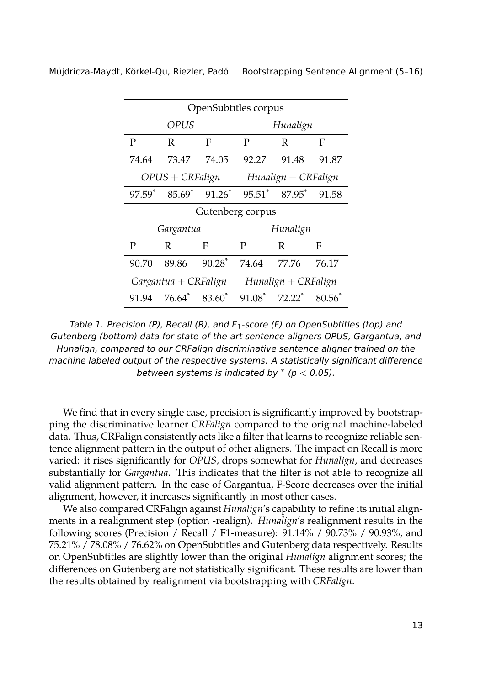| OpenSubtitles corpus |                        |                      |                      |                      |                 |  |  |  |
|----------------------|------------------------|----------------------|----------------------|----------------------|-----------------|--|--|--|
| OPUS                 |                        |                      | Hunalign             |                      |                 |  |  |  |
| P                    | R                      | F                    | P                    | R                    | F               |  |  |  |
| 74.64                | 73.47                  | 74.05                | 92.27                | 91.48                | 91.87           |  |  |  |
| $OPUS + CRFalign$    |                        |                      | $Hundign + CRFalign$ |                      |                 |  |  |  |
| 97.59 <sup>*</sup>   | $85.69*$               | $91.26*$             | $95.51^*$            | 87.95*               | 91.58           |  |  |  |
| Gutenberg corpus     |                        |                      |                      |                      |                 |  |  |  |
| Gargantua            |                        |                      | Hunalign             |                      |                 |  |  |  |
| P                    | R                      | F                    | P                    | R                    | F               |  |  |  |
| 90.70                | 89.86                  | $90.28$ <sup>*</sup> | 74.64                | 77.76                | 76.17           |  |  |  |
|                      | $Gargantua + CRFalign$ |                      | $Hundign + CRFalign$ |                      |                 |  |  |  |
| 91.94                | $76.64*$               | 83.60 <sup>*</sup>   | $91.08$ *            | $72.22$ <sup>*</sup> | $80.56^{\circ}$ |  |  |  |

<span id="page-8-0"></span>*Table 1. Precision (P), Recall (R), and F*1*-score (F) on OpenSubtitles (top) and Gutenberg (bottom) data for state-of-the-art sentence aligners OPUS, Gargantua, and Hunalign, compared to our CRFalign discriminative sentence aligner trained on the machine labeled output of the respective systems. A statistically significant difference between systems is indicated by ∗ (p* < *0.05).*

We find that in every single case, precision is significantly improved by bootstrapping the discriminative learner *CRFalign* compared to the original machine-labeled data. Thus, CRFalign consistently acts like a filter that learns to recognize reliable sentence alignment pattern in the output of other aligners. The impact on Recall is more varied: it rises significantly for *OPUS*, drops somewhat for *Hunalign*, and decreases substantially for *Gargantua*. This indicates that the filter is not able to recognize all valid alignment pattern. In the case of Gargantua, F-Score decreases over the initial alignment, however, it increases significantly in most other cases.

We also compared CRFalign against *Hunalign*'s capability to refine its initial alignments in a realignment step (option -realign). *Hunalign*'s realignment results in the following scores (Precision / Recall / F1-measure): 91.14% / 90.73% / 90.93%, and 75.21% / 78.08% / 76.62% on OpenSubtitles and Gutenberg data respectively. Results on OpenSubtitles are slightly lower than the original *Hunalign* alignment scores; the differences on Gutenberg are not statistically significant. These results are lower than the results obtained by realignment via bootstrapping with *CRFalign*.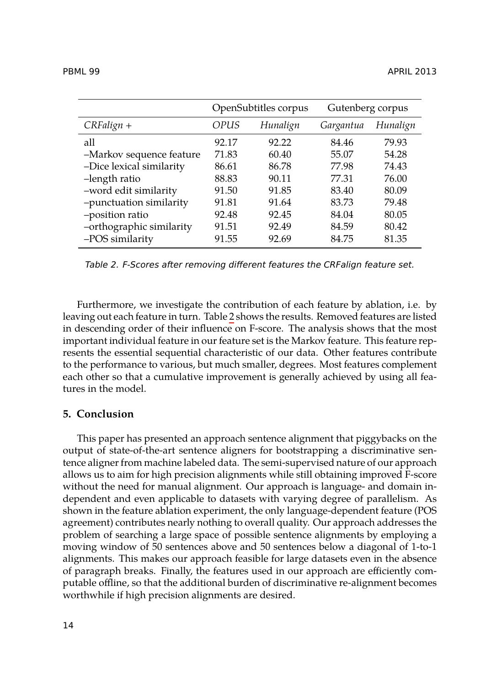| PBML 99 | <b>APRIL 2013</b> | __ |
|---------|-------------------|----|
|         |                   |    |

<span id="page-9-0"></span>

|                          | OpenSubtitles corpus |          | Gutenberg corpus |          |
|--------------------------|----------------------|----------|------------------|----------|
| $CRFalign +$             | OPUS                 | Hunalign | Gargantua        | Hunalign |
| all                      | 92.17                | 92.22    | 84.46            | 79.93    |
| -Markov sequence feature | 71.83                | 60.40    | 55.07            | 54.28    |
| -Dice lexical similarity | 86.61                | 86.78    | 77.98            | 74.43    |
| -length ratio            | 88.83                | 90.11    | 77.31            | 76.00    |
| -word edit similarity    | 91.50                | 91.85    | 83.40            | 80.09    |
| -punctuation similarity  | 91.81                | 91.64    | 83.73            | 79.48    |
| -position ratio          | 92.48                | 92.45    | 84.04            | 80.05    |
| -orthographic similarity | 91.51                | 92.49    | 84.59            | 80.42    |
| -POS similarity          | 91.55                | 92.69    | 84.75            | 81.35    |

*Table 2. F-Scores after removing different features the CRFalign feature set.*

Furthermore, we investigate the contribution of each feature by ablation, i.e. by leaving out each feature in turn. Table 2 shows the results. Removed features are listed in descending order of their influence on F-score. The analysis shows that the most important individual feature in our feature set is the Markov feature. This feature represents the essential sequential characteristic of our data. Other features contribute to the performance to various, but much smaller, degrees. Most features complement each other so that a cumulative improvement is generally achieved by using all features in the model.

## **5. Conclusion**

This paper has presented an approach sentence alignment that piggybacks on the output of state-of-the-art sentence aligners for bootstrapping a discriminative sentence aligner from machine labeled data. The semi-supervised nature of our approach allows us to aim for high precision alignments while still obtaining improved F-score without the need for manual alignment. Our approach is language- and domain independent and even applicable to datasets with varying degree of parallelism. As shown in the feature ablation experiment, the only language-dependent feature (POS agreement) contributes nearly nothing to overall quality. Our approach addresses the problem of searching a large space of possible sentence alignments by employing a moving window of 50 sentences above and 50 sentences below a diagonal of 1-to-1 alignments. This makes our approach feasible for large datasets even in the absence of paragraph breaks. Finally, the features used in our approach are efficiently computable offline, so that the additional burden of discriminative re-alignment becomes worthwhile if high precision alignments are desired.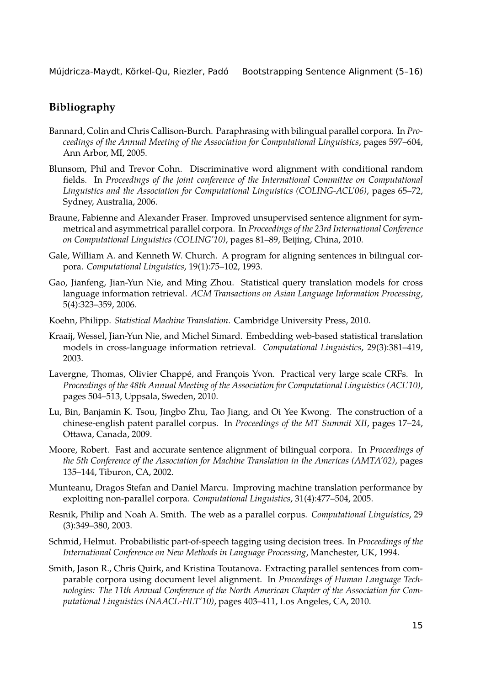## **Bibliography**

- <span id="page-10-3"></span>Bannard, Colin and Chris Callison-Burch. Paraphrasing with bilingual parallel corpora. In *Proceedings of the Annual Meeting of the Association for Computational Linguistics*, pages 597–604, Ann Arbor, MI, 2005.
- <span id="page-10-12"></span>Blunsom, Phil and Trevor Cohn. Discriminative word alignment with conditional random fields. In *Proceedings of the joint conference of the International Committee on Computational Linguistics and the Association for Computational Linguistics (COLING-ACL'06)*, pages 65–72, Sydney, Australia, 2006.
- <span id="page-10-7"></span>Braune, Fabienne and Alexander Fraser. Improved unsupervised sentence alignment for symmetrical and asymmetrical parallel corpora. In *Proceedings of the 23rd International Conference on Computational Linguistics (COLING'10)*, pages 81–89, Beijing, China, 2010.
- <span id="page-10-8"></span>Gale, William A. and Kenneth W. Church. A program for aligning sentences in bilingual corpora. *Computational Linguistics*, 19(1):75–102, 1993.
- <span id="page-10-2"></span>Gao, Jianfeng, Jian-Yun Nie, and Ming Zhou. Statistical query translation models for cross language information retrieval. *ACM Transactions on Asian Language Information Processing*, 5(4):323–359, 2006.
- <span id="page-10-0"></span>Koehn, Philipp. *Statistical Machine Translation*. Cambridge University Press, 2010.
- <span id="page-10-1"></span>Kraaij, Wessel, Jian-Yun Nie, and Michel Simard. Embedding web-based statistical translation models in cross-language information retrieval. *Computational Linguistics*, 29(3):381–419, 2003.
- <span id="page-10-11"></span>Lavergne, Thomas, Olivier Chappé, and François Yvon. Practical very large scale CRFs. In *Proceedings of the 48th Annual Meeting of the Association for Computational Linguistics (ACL'10)*, pages 504–513, Uppsala, Sweden, 2010.
- <span id="page-10-9"></span>Lu, Bin, Banjamin K. Tsou, Jingbo Zhu, Tao Jiang, and Oi Yee Kwong. The construction of a chinese-english patent parallel corpus. In *Proceedings of the MT Summit XII*, pages 17–24, Ottawa, Canada, 2009.
- <span id="page-10-10"></span>Moore, Robert. Fast and accurate sentence alignment of bilingual corpora. In *Proceedings of the 5th Conference of the Association for Machine Translation in the Americas (AMTA'02)*, pages 135–144, Tiburon, CA, 2002.
- <span id="page-10-6"></span>Munteanu, Dragos Stefan and Daniel Marcu. Improving machine translation performance by exploiting non-parallel corpora. *Computational Linguistics*, 31(4):477–504, 2005.
- <span id="page-10-4"></span>Resnik, Philip and Noah A. Smith. The web as a parallel corpus. *Computational Linguistics*, 29 (3):349–380, 2003.
- <span id="page-10-13"></span>Schmid, Helmut. Probabilistic part-of-speech tagging using decision trees. In *Proceedings of the International Conference on New Methods in Language Processing*, Manchester, UK, 1994.
- <span id="page-10-5"></span>Smith, Jason R., Chris Quirk, and Kristina Toutanova. Extracting parallel sentences from comparable corpora using document level alignment. In *Proceedings of Human Language Technologies: The 11th Annual Conference of the North American Chapter of the Association for Computational Linguistics (NAACL-HLT'10)*, pages 403–411, Los Angeles, CA, 2010.